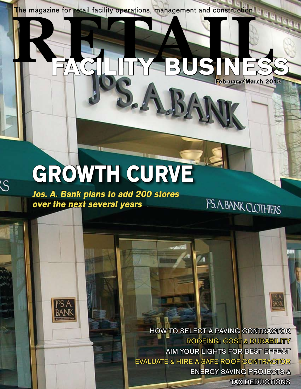**RETAIL facility business** The magazine for retail facility operations, management and construction.

2.AJ

# **growth curve**

**Jos. A. Bank plans to add 200 stores over the next several years**

 $\overline{\mathcal{S}}$ 

 HOW TO SELECT A PAVING CONTRACTOR ROOFING: COST & DURABILITY **AIM YOUR LIGHTS FOR BEST EFFECT** EVALUATE & HIRE A SAFE ROOF CONTRACTOR ENERGY SAVING PROJECTS & TAX DEDUCTIONS

**February/March 2013**

**PS. A. BANK CLOTHIERS** 

®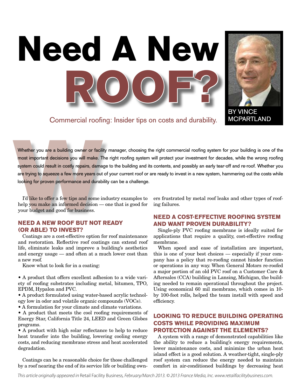Commercial roofing: Insider tips on costs and durability.

**ROOF?**

**Need A New**

Whether you are a building owner or facili<br>most important decisions you will make. T<br>system could result in costly repairs, dama<br>are trying to squeeze a few more years out<br>looking for proven performance and durab<br>looking f Whether you are a building owner or facility manager, choosing the right commercial roofing system for your building is one of the most important decisions you will make. The right roofing system will protect your investment for decades, while the wrong roofing system could result in costly repairs, damage to the building and its contents, and possibly an early tear-off and re-roof. Whether you are trying to squeeze a few more years out of your current roof or are ready to invest in a new system, hammering out the costs while looking for proven performance and durability can be a challenge.

I'd like to offer a few tips and some industry examples to help you make an informed decision — one that is good for your budget and good for business.

### **Need a new roof but not ready (or able) to invest?**

Coatings are a cost-effective option for roof maintenance and restoration. Reflective roof coatings can extend roof life, eliminate leaks and improve a building's aesthetics and energy usage — and often at a much lower cost than a new roof.

Know what to look for in a coating:

• A product that offers excellent adhesion to a wide variety of roofing substrates including metal, bitumen, TPO, EPDM, Hypalon and PVC.

• A product formulated using water-based acrylic technology low in odor and volatile organic compounds (VOCs).

• A formulation for your climate and climate variations.

• A product that meets the cool roofing requirements of Energy Star, California Title 24, LEED and Green Globes programs.

• A product with high solar reflectance to help to reduce heat transfer into the building, lowering cooling energy costs, and reducing membrane stress and heat accelerated degradation.

Coatings can be a reasonable choice for those challenged by a roof nearing the end of its service life or building own-

ers frustrated by metal roof leaks and other types of roofing failures.

# **Need a cost-effective roofing system AND want proven durability?**

Single-ply PVC roofing membrane is ideally suited for applications that require a quality, cost-effective roofing membrane.

When speed and ease of installation are important, this is one of your best choices — especially if your company has a policy that re-roofing cannot hinder function or operations in any way. When General Motors re-roofed a major portion of an old PVC roof on a Customer Care & Aftersales (CCA) building in Lansing, Michigan, the building needed to remain operational throughout the project. Using economical 60 mil membrane, which comes in 10 by 100-foot rolls, helped the team install with speed and efficiency.

# **Looking to reduce building operating costs while providing maximum protection against the elements?**

A system with a range of demonstrated capabilities like the ability to reduce a building's energy requirements, lower maintenance costs, and minimize the urban heat island effect is a good solution. A weather-tight, single-ply roof system can reduce the energy needed to maintain comfort in air-conditioned buildings by decreasing heat



MCPARTLAND

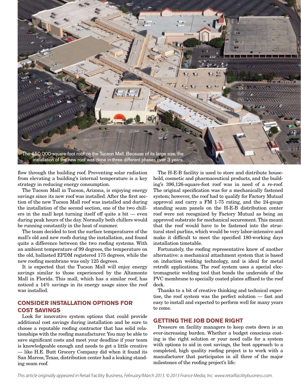

flow through the building roof. Preventing solar radiation from elevating a building's internal temperature is a key strategy in reducing energy consumption.

The Tucson Mall in Tucson, Arizona, is enjoying energy savings since its new roof was installed. After the first section of the new Tucson Mall roof was installed and during the installation of the second section, one of the two chillers in the mall kept turning itself off quite a bit — even during peak hours of the day. Normally both chillers would be running constantly in the heat of summer.

The team decided to test the surface temperatures of the mall's old and new roofs during the installation, and found quite a difference between the two roofing systems. With an ambient temperature of 99 degrees, the temperature on the old, ballasted EPDM registered 175 degrees, while the new roofing membrane was only 125 degrees.

It is expected that the Tucson Mall will enjoy energy savings similar to those experienced by the Altamonte Mall in Florida. This mall, which has a similar roof, has noticed a 14% savings in its energy usage since the roof was installed.

# **Consider Installation Options for Cost Savings**

Look for innovative system options that could provide additional cost savings during installation and be sure to choose a reputable roofing contractor that has solid relationships with the roofing manufacturer. You may be able to save significant costs and meet your deadline if your team is knowledgeable enough and needs to get a little creative — like H.E. Butt Grocery Company did when it found its San Marcos, Texas, distribution center had a leaking standing seam roof.

The H-E-B facility is used to store and distribute household, cosmetic and pharmaceutical products, and the building's 396,126-square-foot roof was in need of a re-roof. The original specification was for a mechanically fastened system; however, the roof had to qualify for Factory Mutual approval and carry a FM 1-75 rating, and the 24-gauge standing seam panels on the H-E-B distribution center roof were not recognized by Factory Mutual as being an approved substrate for mechanical securement. This meant that the roof would have to be fastened into the structural steel purlins, which would be very labor-intensive and make it difficult to meet the specified 180-working days installation timetable.

Fortunately, the roofing representative knew of another alternative: a mechanical attachment system that is based on induction welding technology, and is ideal for metal retrofit applications. The roof system uses a special electromagnetic welding tool that bonds the underside of the PVC membrane to specially coated plates affixed to the roof deck.

Thanks to a bit of creative thinking and technical expertise, the roof system was the perfect solution — fast and easy to install and expected to perform well for many years to come.

#### **Getting the job done right**

Pressure on facility managers to keep costs down is an ever-increasing burden. Whether a budget conscious coating is the right solution or your need calls for a system with options to aid in cost savings, the best approach to a completed, high quality roofing project is to work with a manufacturer that participates in all three of the major milestones of the roofing project's life: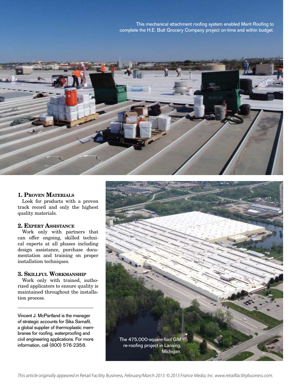This mechanical attachment roofing system enabled Merit Roofing to complete the H.E. Butt Grocery Company project on-time and within budget.



#### **1. Proven Materials**

Look for products with a proven track record and only the highest quality materials.

#### **2. Expert Assistance**

Work only with partners that can offer ongoing, skilled technical experts at all phases including design assistance, purchase documentation and training on proper installation techniques.

#### **3. Skillful Workmanship**

Work only with trained, authorized applicators to ensure quality is maintained throughout the installation process.

Vincent J. McPartland is the manager of strategic accounts for Sika Sarnafil, a global supplier of thermoplastic membranes for roofing, waterproofing and civil engineering applications. For more information, call (800) 576-2358.